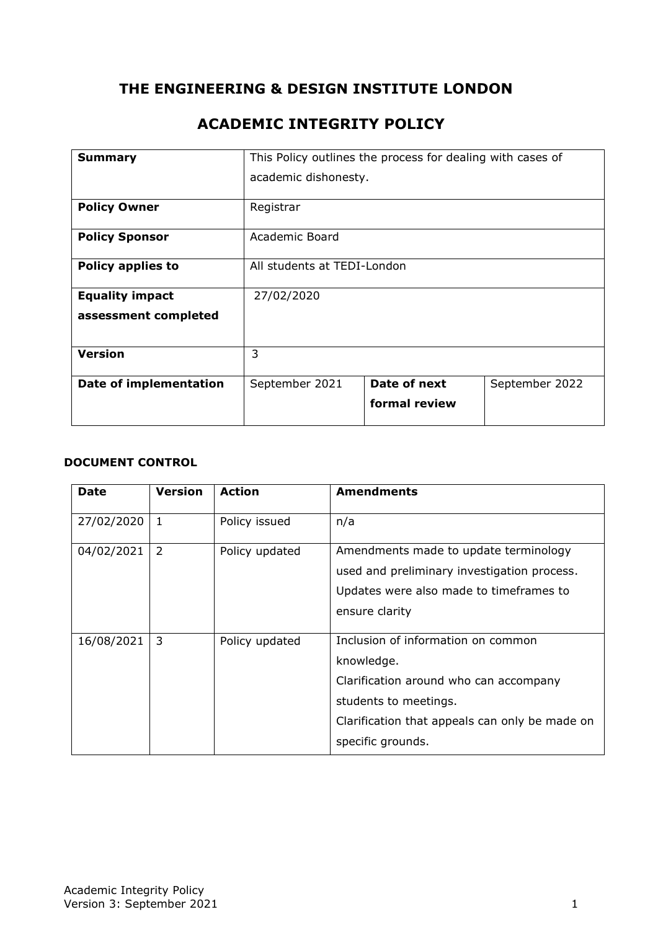## **THE ENGINEERING & DESIGN INSTITUTE LONDON**

## **ACADEMIC INTEGRITY POLICY**

| <b>Summary</b>           |                             | This Policy outlines the process for dealing with cases of |                |
|--------------------------|-----------------------------|------------------------------------------------------------|----------------|
|                          | academic dishonesty.        |                                                            |                |
| <b>Policy Owner</b>      | Registrar                   |                                                            |                |
| <b>Policy Sponsor</b>    | Academic Board              |                                                            |                |
| <b>Policy applies to</b> | All students at TEDI-London |                                                            |                |
| <b>Equality impact</b>   | 27/02/2020                  |                                                            |                |
| assessment completed     |                             |                                                            |                |
| <b>Version</b>           | 3                           |                                                            |                |
| Date of implementation   | September 2021              | Date of next                                               | September 2022 |
|                          |                             | formal review                                              |                |

#### **DOCUMENT CONTROL**

| <b>Date</b> | <b>Version</b> | <b>Action</b>  | <b>Amendments</b>                              |
|-------------|----------------|----------------|------------------------------------------------|
| 27/02/2020  | 1              | Policy issued  | n/a                                            |
| 04/02/2021  | 2              | Policy updated | Amendments made to update terminology          |
|             |                |                | used and preliminary investigation process.    |
|             |                |                | Updates were also made to timeframes to        |
|             |                |                | ensure clarity                                 |
|             |                |                |                                                |
| 16/08/2021  | 3              | Policy updated | Inclusion of information on common             |
|             |                |                | knowledge.                                     |
|             |                |                | Clarification around who can accompany         |
|             |                |                | students to meetings.                          |
|             |                |                | Clarification that appeals can only be made on |
|             |                |                | specific grounds.                              |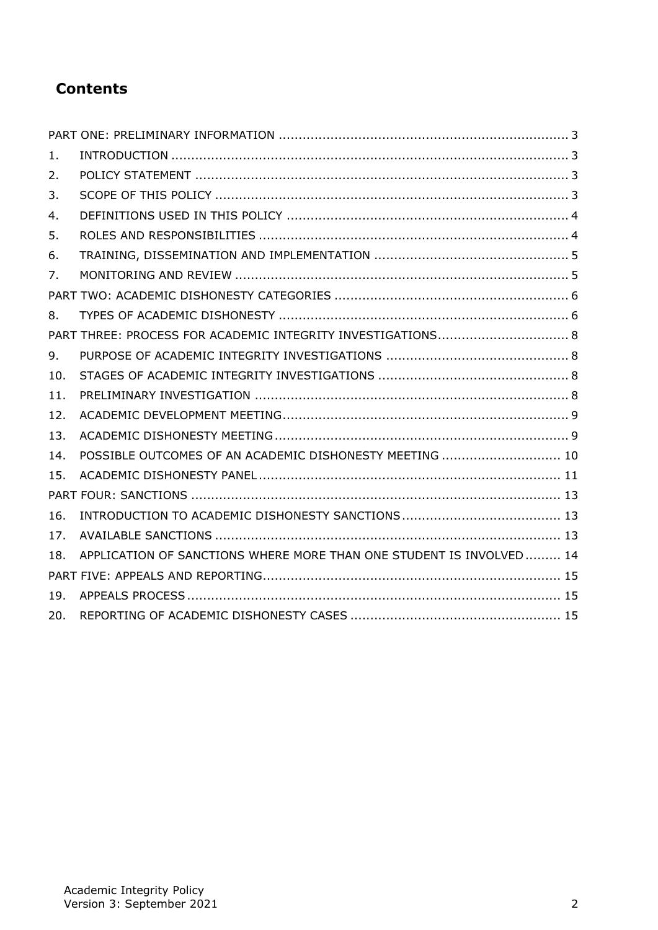# **Contents**

| 1.  |                                                                     |  |
|-----|---------------------------------------------------------------------|--|
| 2.  |                                                                     |  |
| 3.  |                                                                     |  |
| 4.  |                                                                     |  |
| 5.  |                                                                     |  |
| 6.  |                                                                     |  |
| 7.  |                                                                     |  |
|     |                                                                     |  |
| 8.  |                                                                     |  |
|     |                                                                     |  |
| 9.  |                                                                     |  |
| 10. |                                                                     |  |
| 11. |                                                                     |  |
| 12. |                                                                     |  |
| 13. |                                                                     |  |
| 14. | POSSIBLE OUTCOMES OF AN ACADEMIC DISHONESTY MEETING  10             |  |
| 15. |                                                                     |  |
|     |                                                                     |  |
| 16. |                                                                     |  |
| 17. |                                                                     |  |
| 18. | APPLICATION OF SANCTIONS WHERE MORE THAN ONE STUDENT IS INVOLVED 14 |  |
|     |                                                                     |  |
| 19. |                                                                     |  |
| 20. |                                                                     |  |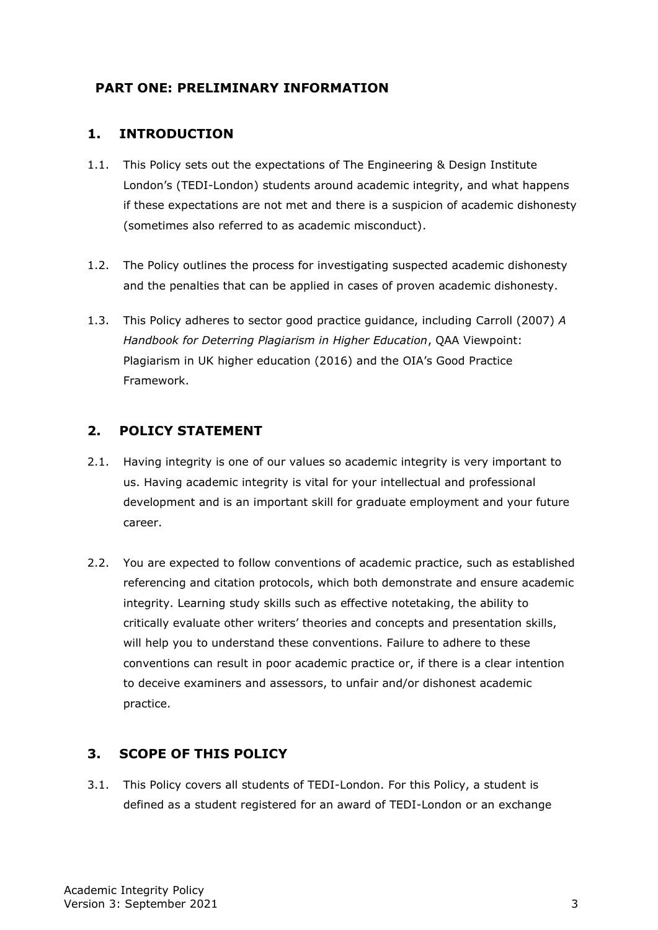## <span id="page-2-0"></span>**PART ONE: PRELIMINARY INFORMATION**

#### <span id="page-2-1"></span>**1. INTRODUCTION**

- 1.1. This Policy sets out the expectations of The Engineering & Design Institute London's (TEDI-London) students around academic integrity, and what happens if these expectations are not met and there is a suspicion of academic dishonesty (sometimes also referred to as academic misconduct).
- 1.2. The Policy outlines the process for investigating suspected academic dishonesty and the penalties that can be applied in cases of proven academic dishonesty.
- 1.3. This Policy adheres to sector good practice guidance, including Carroll (2007) *A Handbook for Deterring Plagiarism in Higher Education*, QAA Viewpoint: Plagiarism in UK higher education (2016) and the OIA's Good Practice Framework.

### <span id="page-2-2"></span>**2. POLICY STATEMENT**

- 2.1. Having integrity is one of our values so academic integrity is very important to us. Having academic integrity is vital for your intellectual and professional development and is an important skill for graduate employment and your future career.
- 2.2. You are expected to follow conventions of academic practice, such as established referencing and citation protocols, which both demonstrate and ensure academic integrity. Learning study skills such as effective notetaking, the ability to critically evaluate other writers' theories and concepts and presentation skills, will help you to understand these conventions. Failure to adhere to these conventions can result in poor academic practice or, if there is a clear intention to deceive examiners and assessors, to unfair and/or dishonest academic practice.

## <span id="page-2-3"></span>**3. SCOPE OF THIS POLICY**

3.1. This Policy covers all students of TEDI-London. For this Policy, a student is defined as a student registered for an award of TEDI-London or an exchange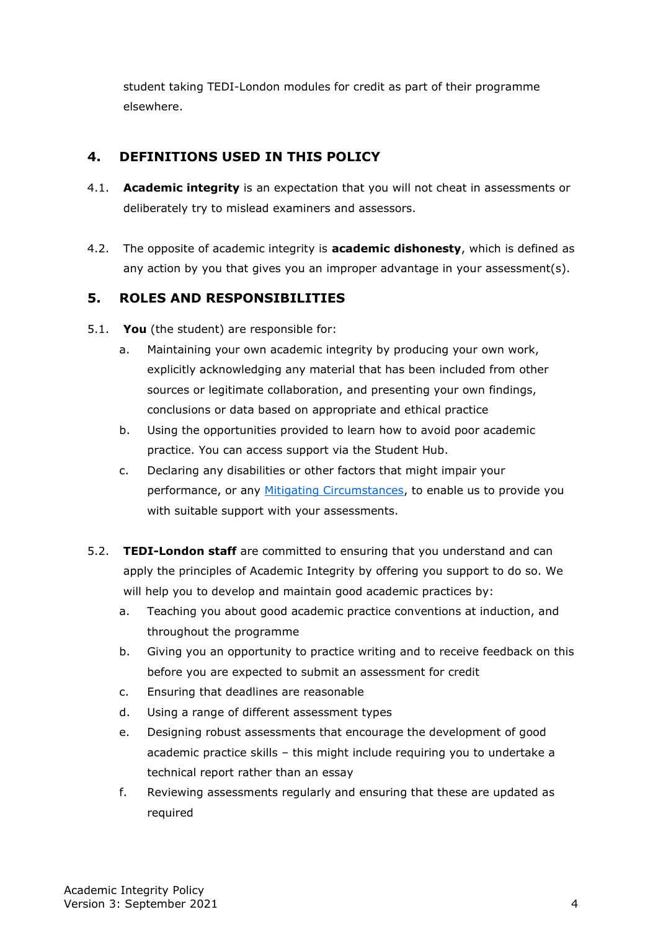student taking TEDI-London modules for credit as part of their programme elsewhere.

## <span id="page-3-0"></span>**4. DEFINITIONS USED IN THIS POLICY**

- 4.1. **Academic integrity** is an expectation that you will not cheat in assessments or deliberately try to mislead examiners and assessors.
- 4.2. The opposite of academic integrity is **academic dishonesty**, which is defined as any action by you that gives you an improper advantage in your assessment(s).

## <span id="page-3-1"></span>**5. ROLES AND RESPONSIBILITIES**

- 5.1. **You** (the student) are responsible for:
	- a. Maintaining your own academic integrity by producing your own work, explicitly acknowledging any material that has been included from other sources or legitimate collaboration, and presenting your own findings, conclusions or data based on appropriate and ethical practice
	- b. Using the opportunities provided to learn how to avoid poor academic practice. You can access support via the Student Hub.
	- c. Declaring any disabilities or other factors that might impair your performance, or any [Mitigating Circumstances,](https://tedi-london.ac.uk/policies/) to enable us to provide you with suitable support with your assessments.
- 5.2. **TEDI-London staff** are committed to ensuring that you understand and can apply the principles of Academic Integrity by offering you support to do so. We will help you to develop and maintain good academic practices by:
	- a. Teaching you about good academic practice conventions at induction, and throughout the programme
	- b. Giving you an opportunity to practice writing and to receive feedback on this before you are expected to submit an assessment for credit
	- c. Ensuring that deadlines are reasonable
	- d. Using a range of different assessment types
	- e. Designing robust assessments that encourage the development of good academic practice skills – this might include requiring you to undertake a technical report rather than an essay
	- f. Reviewing assessments regularly and ensuring that these are updated as required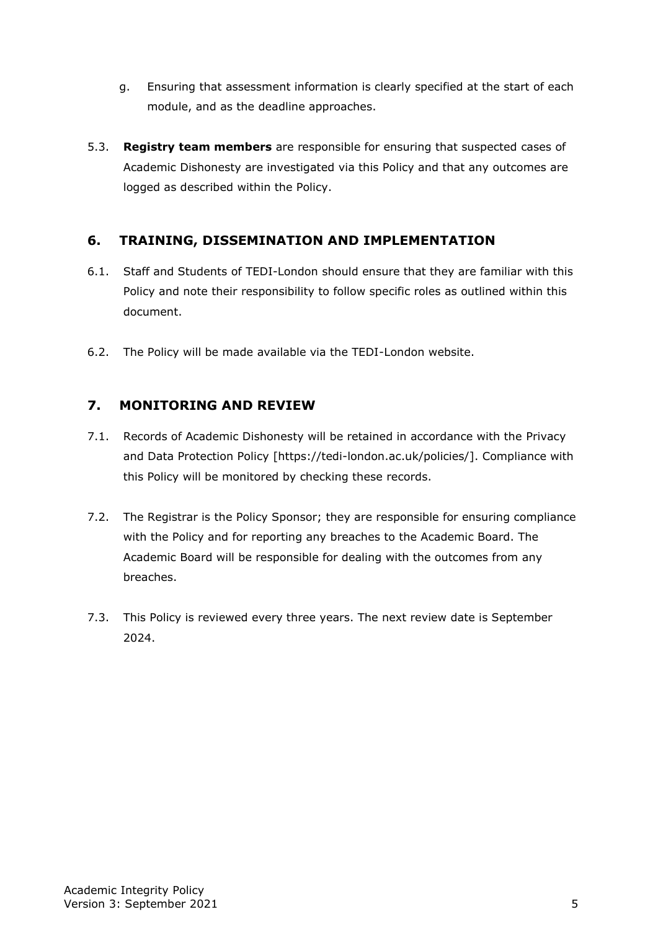- g. Ensuring that assessment information is clearly specified at the start of each module, and as the deadline approaches.
- 5.3. **Registry team members** are responsible for ensuring that suspected cases of Academic Dishonesty are investigated via this Policy and that any outcomes are logged as described within the Policy.

#### <span id="page-4-0"></span>**6. TRAINING, DISSEMINATION AND IMPLEMENTATION**

- 6.1. Staff and Students of TEDI-London should ensure that they are familiar with this Policy and note their responsibility to follow specific roles as outlined within this document.
- 6.2. The Policy will be made available via the TEDI-London website.

#### <span id="page-4-1"></span>**7. MONITORING AND REVIEW**

- 7.1. Records of Academic Dishonesty will be retained in accordance with the Privacy and Data Protection Policy [https://tedi-london.ac.uk/policies/]. Compliance with this Policy will be monitored by checking these records.
- 7.2. The Registrar is the Policy Sponsor; they are responsible for ensuring compliance with the Policy and for reporting any breaches to the Academic Board. The Academic Board will be responsible for dealing with the outcomes from any breaches.
- 7.3. This Policy is reviewed every three years. The next review date is September 2024.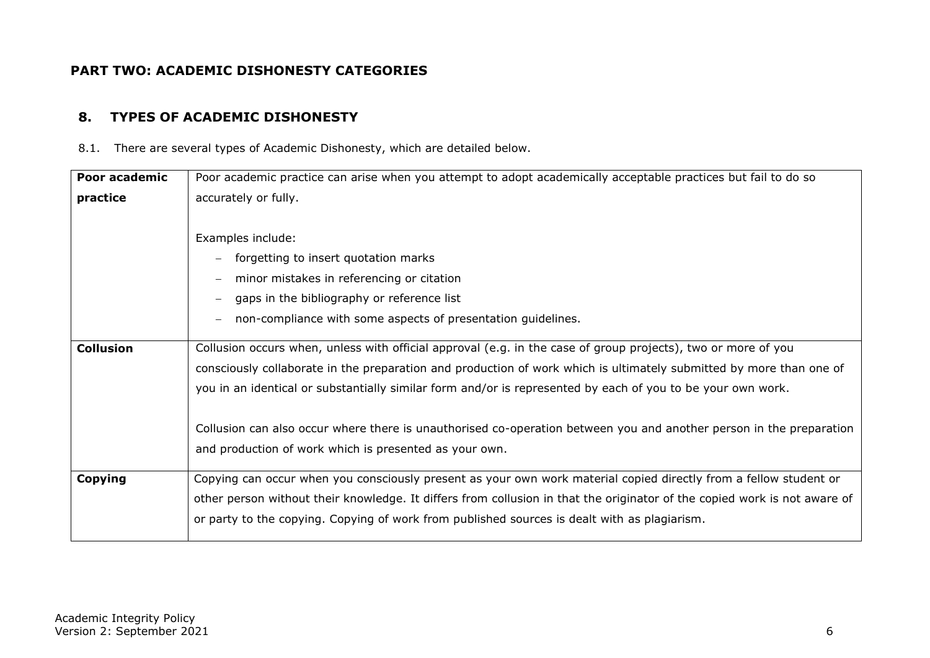## **PART TWO: ACADEMIC DISHONESTY CATEGORIES**

#### **8. TYPES OF ACADEMIC DISHONESTY**

8.1. There are several types of Academic Dishonesty, which are detailed below.

<span id="page-5-1"></span><span id="page-5-0"></span>

| Poor academic    | Poor academic practice can arise when you attempt to adopt academically acceptable practices but fail to do so            |
|------------------|---------------------------------------------------------------------------------------------------------------------------|
| practice         | accurately or fully.                                                                                                      |
|                  |                                                                                                                           |
|                  | Examples include:                                                                                                         |
|                  | forgetting to insert quotation marks                                                                                      |
|                  | minor mistakes in referencing or citation                                                                                 |
|                  | gaps in the bibliography or reference list                                                                                |
|                  | non-compliance with some aspects of presentation guidelines.                                                              |
|                  |                                                                                                                           |
| <b>Collusion</b> | Collusion occurs when, unless with official approval (e.g. in the case of group projects), two or more of you             |
|                  | consciously collaborate in the preparation and production of work which is ultimately submitted by more than one of       |
|                  | you in an identical or substantially similar form and/or is represented by each of you to be your own work.               |
|                  | Collusion can also occur where there is unauthorised co-operation between you and another person in the preparation       |
|                  |                                                                                                                           |
|                  | and production of work which is presented as your own.                                                                    |
| Copying          | Copying can occur when you consciously present as your own work material copied directly from a fellow student or         |
|                  | other person without their knowledge. It differs from collusion in that the originator of the copied work is not aware of |
|                  | or party to the copying. Copying of work from published sources is dealt with as plagiarism.                              |
|                  |                                                                                                                           |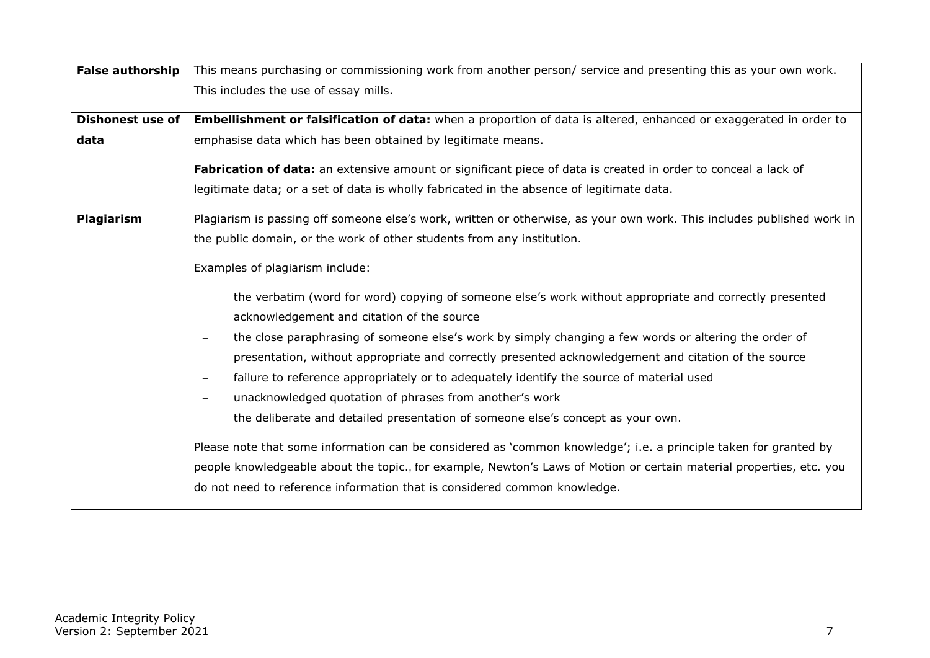| <b>False authorship</b> | This means purchasing or commissioning work from another person/ service and presenting this as your own work.                                                                                                                                                                                                                                                                                                                                                                                                                                                                                                                                                                                                                                                                                                                                                                                                                                                                                                                       |
|-------------------------|--------------------------------------------------------------------------------------------------------------------------------------------------------------------------------------------------------------------------------------------------------------------------------------------------------------------------------------------------------------------------------------------------------------------------------------------------------------------------------------------------------------------------------------------------------------------------------------------------------------------------------------------------------------------------------------------------------------------------------------------------------------------------------------------------------------------------------------------------------------------------------------------------------------------------------------------------------------------------------------------------------------------------------------|
|                         | This includes the use of essay mills.                                                                                                                                                                                                                                                                                                                                                                                                                                                                                                                                                                                                                                                                                                                                                                                                                                                                                                                                                                                                |
| <b>Dishonest use of</b> | Embellishment or falsification of data: when a proportion of data is altered, enhanced or exaggerated in order to                                                                                                                                                                                                                                                                                                                                                                                                                                                                                                                                                                                                                                                                                                                                                                                                                                                                                                                    |
| data                    | emphasise data which has been obtained by legitimate means.                                                                                                                                                                                                                                                                                                                                                                                                                                                                                                                                                                                                                                                                                                                                                                                                                                                                                                                                                                          |
|                         | Fabrication of data: an extensive amount or significant piece of data is created in order to conceal a lack of                                                                                                                                                                                                                                                                                                                                                                                                                                                                                                                                                                                                                                                                                                                                                                                                                                                                                                                       |
|                         | legitimate data; or a set of data is wholly fabricated in the absence of legitimate data.                                                                                                                                                                                                                                                                                                                                                                                                                                                                                                                                                                                                                                                                                                                                                                                                                                                                                                                                            |
| Plagiarism              | Plagiarism is passing off someone else's work, written or otherwise, as your own work. This includes published work in<br>the public domain, or the work of other students from any institution.                                                                                                                                                                                                                                                                                                                                                                                                                                                                                                                                                                                                                                                                                                                                                                                                                                     |
|                         | Examples of plagiarism include:<br>the verbatim (word for word) copying of someone else's work without appropriate and correctly presented<br>acknowledgement and citation of the source<br>the close paraphrasing of someone else's work by simply changing a few words or altering the order of<br>presentation, without appropriate and correctly presented acknowledgement and citation of the source<br>failure to reference appropriately or to adequately identify the source of material used<br>$\overline{\phantom{m}}$<br>unacknowledged quotation of phrases from another's work<br>$\overline{\phantom{m}}$<br>the deliberate and detailed presentation of someone else's concept as your own.<br>Please note that some information can be considered as 'common knowledge'; i.e. a principle taken for granted by<br>people knowledgeable about the topic., for example, Newton's Laws of Motion or certain material properties, etc. you<br>do not need to reference information that is considered common knowledge. |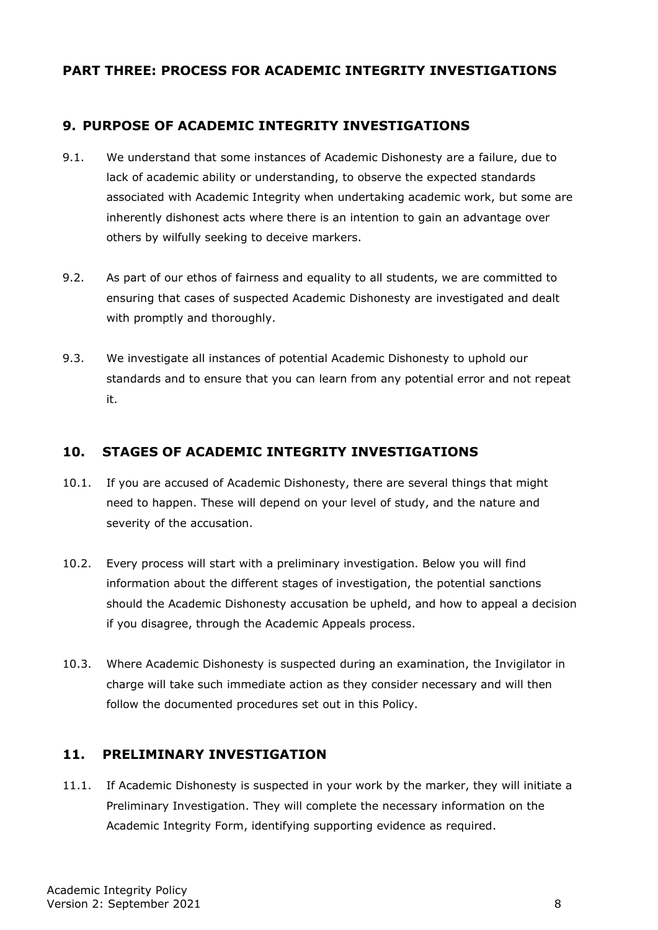### <span id="page-7-0"></span>**PART THREE: PROCESS FOR ACADEMIC INTEGRITY INVESTIGATIONS**

## <span id="page-7-1"></span>**9. PURPOSE OF ACADEMIC INTEGRITY INVESTIGATIONS**

- 9.1. We understand that some instances of Academic Dishonesty are a failure, due to lack of academic ability or understanding, to observe the expected standards associated with Academic Integrity when undertaking academic work, but some are inherently dishonest acts where there is an intention to gain an advantage over others by wilfully seeking to deceive markers.
- 9.2. As part of our ethos of fairness and equality to all students, we are committed to ensuring that cases of suspected Academic Dishonesty are investigated and dealt with promptly and thoroughly.
- 9.3. We investigate all instances of potential Academic Dishonesty to uphold our standards and to ensure that you can learn from any potential error and not repeat it.

## <span id="page-7-2"></span>**10. STAGES OF ACADEMIC INTEGRITY INVESTIGATIONS**

- 10.1. If you are accused of Academic Dishonesty, there are several things that might need to happen. These will depend on your level of study, and the nature and severity of the accusation.
- 10.2. Every process will start with a preliminary investigation. Below you will find information about the different stages of investigation, the potential sanctions should the Academic Dishonesty accusation be upheld, and how to appeal a decision if you disagree, through the Academic Appeals process.
- 10.3. Where Academic Dishonesty is suspected during an examination, the Invigilator in charge will take such immediate action as they consider necessary and will then follow the documented procedures set out in this Policy.

### <span id="page-7-3"></span>**11. PRELIMINARY INVESTIGATION**

11.1. If Academic Dishonesty is suspected in your work by the marker, they will initiate a Preliminary Investigation. They will complete the necessary information on the Academic Integrity Form, identifying supporting evidence as required.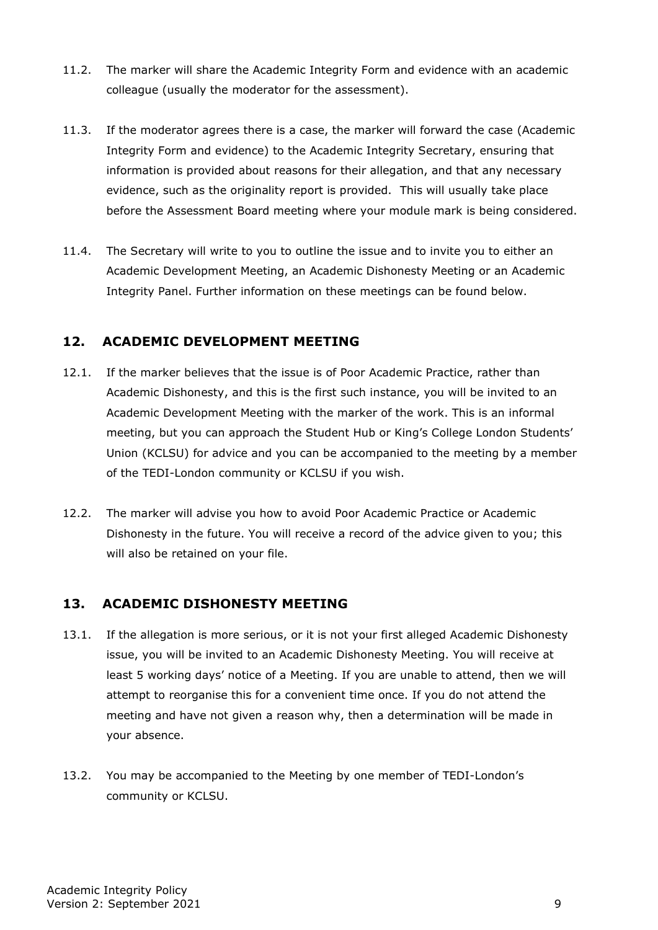- 11.2. The marker will share the Academic Integrity Form and evidence with an academic colleague (usually the moderator for the assessment).
- 11.3. If the moderator agrees there is a case, the marker will forward the case (Academic Integrity Form and evidence) to the Academic Integrity Secretary, ensuring that information is provided about reasons for their allegation, and that any necessary evidence, such as the originality report is provided. This will usually take place before the Assessment Board meeting where your module mark is being considered.
- 11.4. The Secretary will write to you to outline the issue and to invite you to either an Academic Development Meeting, an Academic Dishonesty Meeting or an Academic Integrity Panel. Further information on these meetings can be found below.

## <span id="page-8-0"></span>**12. ACADEMIC DEVELOPMENT MEETING**

- 12.1. If the marker believes that the issue is of Poor Academic Practice, rather than Academic Dishonesty, and this is the first such instance, you will be invited to an Academic Development Meeting with the marker of the work. This is an informal meeting, but you can approach the Student Hub or King's College London Students' Union (KCLSU) for advice and you can be accompanied to the meeting by a member of the TEDI-London community or KCLSU if you wish.
- 12.2. The marker will advise you how to avoid Poor Academic Practice or Academic Dishonesty in the future. You will receive a record of the advice given to you; this will also be retained on your file.

### <span id="page-8-1"></span>**13. ACADEMIC DISHONESTY MEETING**

- 13.1. If the allegation is more serious, or it is not your first alleged Academic Dishonesty issue, you will be invited to an Academic Dishonesty Meeting. You will receive at least 5 working days' notice of a Meeting. If you are unable to attend, then we will attempt to reorganise this for a convenient time once. If you do not attend the meeting and have not given a reason why, then a determination will be made in your absence.
- 13.2. You may be accompanied to the Meeting by one member of TEDI-London's community or KCLSU.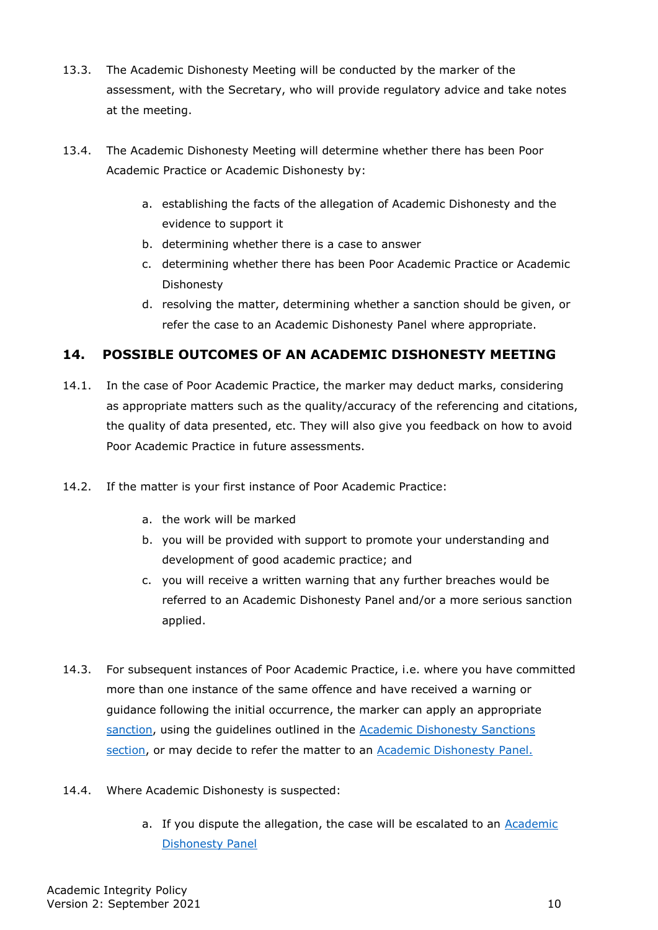- 13.3. The Academic Dishonesty Meeting will be conducted by the marker of the assessment, with the Secretary, who will provide regulatory advice and take notes at the meeting.
- 13.4. The Academic Dishonesty Meeting will determine whether there has been Poor Academic Practice or Academic Dishonesty by:
	- a. establishing the facts of the allegation of Academic Dishonesty and the evidence to support it
	- b. determining whether there is a case to answer
	- c. determining whether there has been Poor Academic Practice or Academic Dishonesty
	- d. resolving the matter, determining whether a sanction should be given, or refer the case to an Academic Dishonesty Panel where appropriate.

## <span id="page-9-0"></span>**14. POSSIBLE OUTCOMES OF AN ACADEMIC DISHONESTY MEETING**

- 14.1. In the case of Poor Academic Practice, the marker may deduct marks, considering as appropriate matters such as the quality/accuracy of the referencing and citations, the quality of data presented, etc. They will also give you feedback on how to avoid Poor Academic Practice in future assessments.
- 14.2. If the matter is your first instance of Poor Academic Practice:
	- a. the work will be marked
	- b. you will be provided with support to promote your understanding and development of good academic practice; and
	- c. you will receive a written warning that any further breaches would be referred to an Academic Dishonesty Panel and/or a more serious sanction applied.
- 14.3. For subsequent instances of Poor Academic Practice, i.e. where you have committed more than one instance of the same offence and have received a warning or guidance following the initial occurrence, the marker can apply an appropriate [sanction,](#page-12-2) using the guidelines outlined in the [Academic Dishonesty Sanctions](#page-12-0)  [section,](#page-12-0) or may decide to refer the matter to an [Academic Dishonesty Panel.](#page-10-0)
- 14.4. Where Academic Dishonesty is suspected:
	- a. If you dispute the allegation, the case will be escalated to an Academic [Dishonesty Panel](#page-10-0)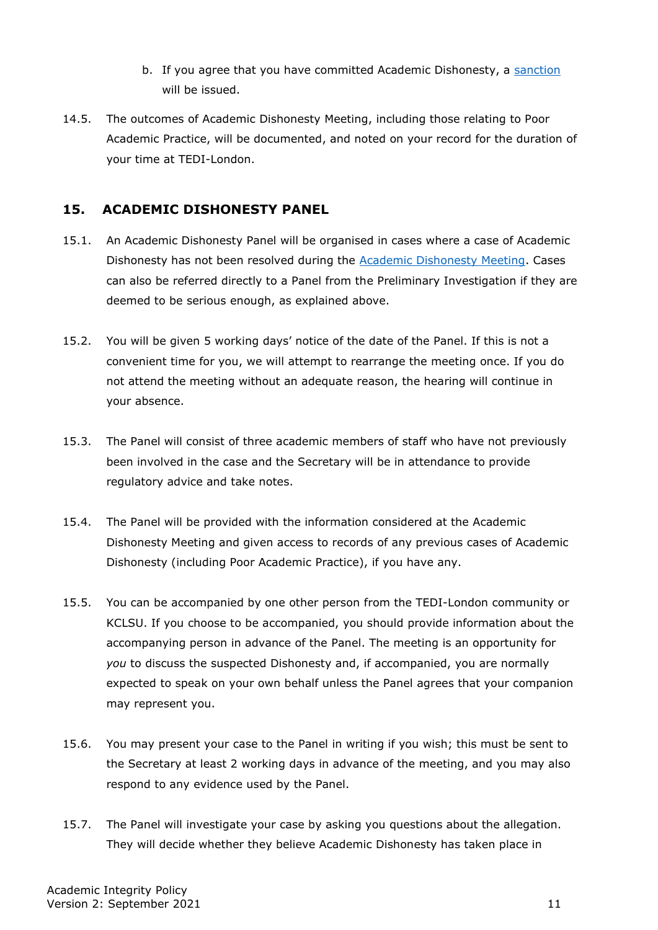- b. If you agree that you have committed Academic Dishonesty, a [sanction](#page-12-0) will be issued.
- 14.5. The outcomes of Academic Dishonesty Meeting, including those relating to Poor Academic Practice, will be documented, and noted on your record for the duration of your time at TEDI-London.

### <span id="page-10-0"></span>**15. ACADEMIC DISHONESTY PANEL**

- 15.1. An Academic Dishonesty Panel will be organised in cases where a case of Academic Dishonesty has not been resolved during the [Academic Dishonesty Meeting.](#page-8-1) Cases can also be referred directly to a Panel from the Preliminary Investigation if they are deemed to be serious enough, as explained above.
- 15.2. You will be given 5 working days' notice of the date of the Panel. If this is not a convenient time for you, we will attempt to rearrange the meeting once. If you do not attend the meeting without an adequate reason, the hearing will continue in your absence.
- 15.3. The Panel will consist of three academic members of staff who have not previously been involved in the case and the Secretary will be in attendance to provide regulatory advice and take notes.
- 15.4. The Panel will be provided with the information considered at the Academic Dishonesty Meeting and given access to records of any previous cases of Academic Dishonesty (including Poor Academic Practice), if you have any.
- 15.5. You can be accompanied by one other person from the TEDI-London community or KCLSU. If you choose to be accompanied, you should provide information about the accompanying person in advance of the Panel. The meeting is an opportunity for *you* to discuss the suspected Dishonesty and, if accompanied, you are normally expected to speak on your own behalf unless the Panel agrees that your companion may represent you.
- 15.6. You may present your case to the Panel in writing if you wish; this must be sent to the Secretary at least 2 working days in advance of the meeting, and you may also respond to any evidence used by the Panel.
- 15.7. The Panel will investigate your case by asking you questions about the allegation. They will decide whether they believe Academic Dishonesty has taken place in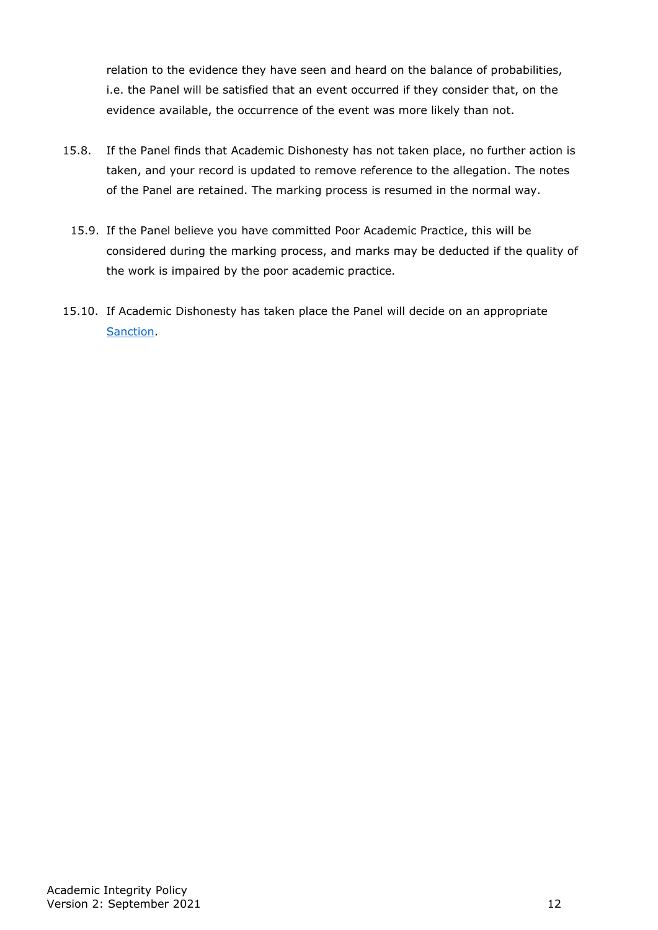relation to the evidence they have seen and heard on the balance of probabilities, i.e. the Panel will be satisfied that an event occurred if they consider that, on the evidence available, the occurrence of the event was more likely than not.

- 15.8. If the Panel finds that Academic Dishonesty has not taken place, no further action is taken, and your record is updated to remove reference to the allegation. The notes of the Panel are retained. The marking process is resumed in the normal way.
	- 15.9. If the Panel believe you have committed Poor Academic Practice, this will be considered during the marking process, and marks may be deducted if the quality of the work is impaired by the poor academic practice.
- 15.10. If Academic Dishonesty has taken place the Panel will decide on an appropriate [Sanction.](#page-12-0)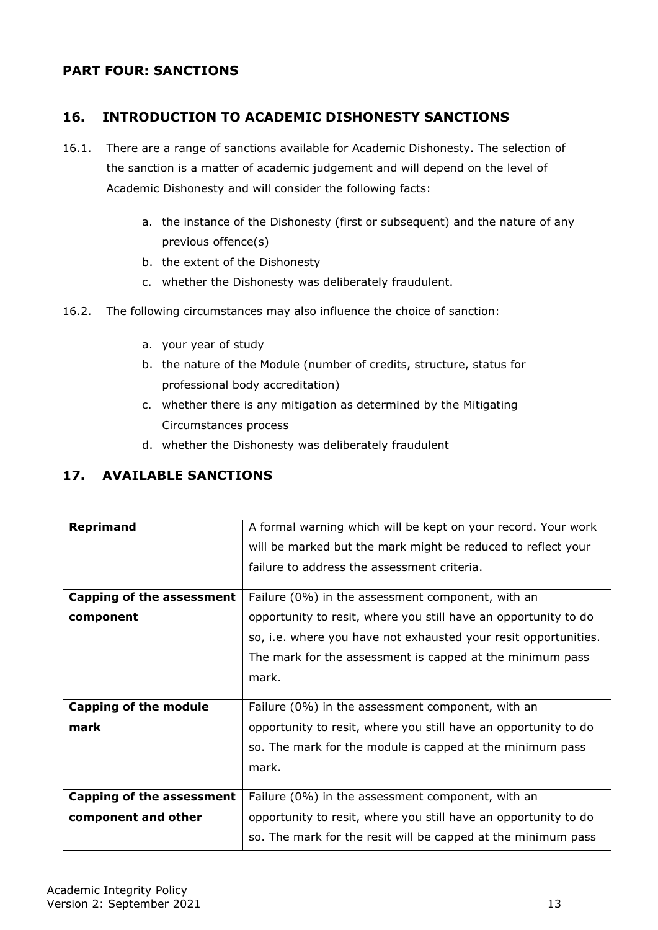## <span id="page-12-0"></span>**PART FOUR: SANCTIONS**

## <span id="page-12-1"></span>**16. INTRODUCTION TO ACADEMIC DISHONESTY SANCTIONS**

- 16.1. There are a range of sanctions available for Academic Dishonesty. The selection of the sanction is a matter of academic judgement and will depend on the level of Academic Dishonesty and will consider the following facts:
	- a. the instance of the Dishonesty (first or subsequent) and the nature of any previous offence(s)
	- b. the extent of the Dishonesty
	- c. whether the Dishonesty was deliberately fraudulent.
- 16.2. The following circumstances may also influence the choice of sanction:
	- a. your year of study
	- b. the nature of the Module (number of credits, structure, status for professional body accreditation)
	- c. whether there is any mitigation as determined by the Mitigating Circumstances process
	- d. whether the Dishonesty was deliberately fraudulent

### <span id="page-12-2"></span>**17. AVAILABLE SANCTIONS**

| <b>Reprimand</b>                 | A formal warning which will be kept on your record. Your work   |  |
|----------------------------------|-----------------------------------------------------------------|--|
|                                  | will be marked but the mark might be reduced to reflect your    |  |
|                                  | failure to address the assessment criteria.                     |  |
|                                  |                                                                 |  |
| <b>Capping of the assessment</b> | Failure (0%) in the assessment component, with an               |  |
| component                        | opportunity to resit, where you still have an opportunity to do |  |
|                                  | so, i.e. where you have not exhausted your resit opportunities. |  |
|                                  | The mark for the assessment is capped at the minimum pass       |  |
|                                  | mark.                                                           |  |
|                                  |                                                                 |  |
| <b>Capping of the module</b>     | Failure (0%) in the assessment component, with an               |  |
| mark                             | opportunity to resit, where you still have an opportunity to do |  |
|                                  | so. The mark for the module is capped at the minimum pass       |  |
|                                  | mark.                                                           |  |
|                                  |                                                                 |  |
| <b>Capping of the assessment</b> | Failure (0%) in the assessment component, with an               |  |
| component and other              | opportunity to resit, where you still have an opportunity to do |  |
|                                  | so. The mark for the resit will be capped at the minimum pass   |  |
|                                  |                                                                 |  |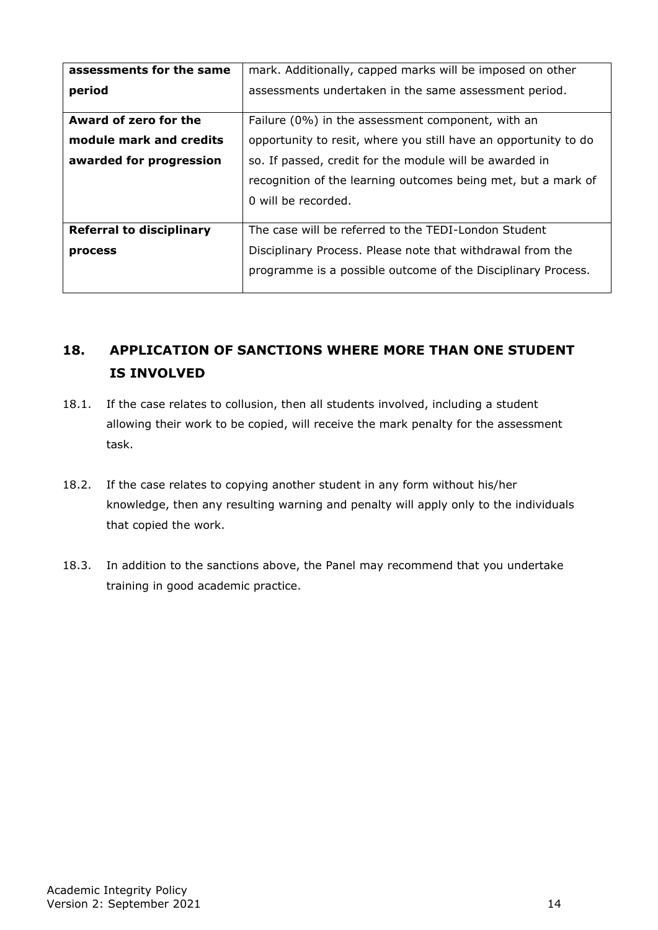| mark. Additionally, capped marks will be imposed on other       |  |
|-----------------------------------------------------------------|--|
| assessments undertaken in the same assessment period.           |  |
| Failure (0%) in the assessment component, with an               |  |
| opportunity to resit, where you still have an opportunity to do |  |
| so. If passed, credit for the module will be awarded in         |  |
| recognition of the learning outcomes being met, but a mark of   |  |
| 0 will be recorded.                                             |  |
|                                                                 |  |
| The case will be referred to the TEDI-London Student            |  |
| Disciplinary Process. Please note that withdrawal from the      |  |
| programme is a possible outcome of the Disciplinary Process.    |  |
|                                                                 |  |

# <span id="page-13-0"></span>**18. APPLICATION OF SANCTIONS WHERE MORE THAN ONE STUDENT IS INVOLVED**

- 18.1. If the case relates to collusion, then all students involved, including a student allowing their work to be copied, will receive the mark penalty for the assessment task.
- 18.2. If the case relates to copying another student in any form without his/her knowledge, then any resulting warning and penalty will apply only to the individuals that copied the work.
- 18.3. In addition to the sanctions above, the Panel may recommend that you undertake training in good academic practice.